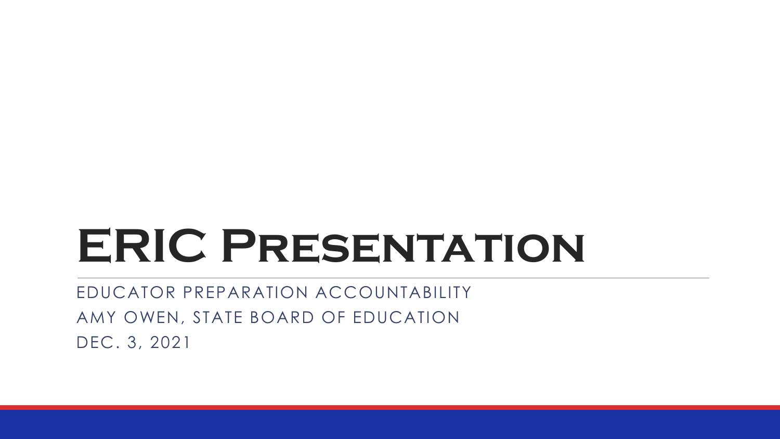# **ERIC Presentation**

EDUCATOR PREPARATION ACCOUNTABILITY AMY OWEN, STATE BOARD OF EDUCATION DEC. 3, 2021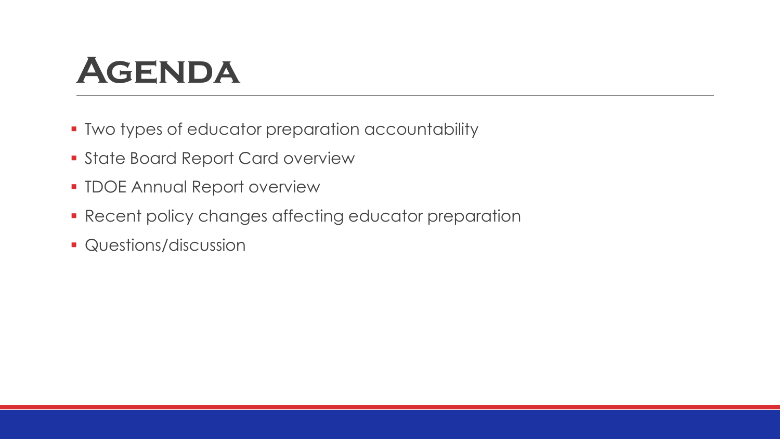### **Agenda**

- **Two types of educator preparation accountability**
- **State Board Report Card overview**
- **TDOE Annual Report overview**
- **Recent policy changes affecting educator preparation**
- **Questions/discussion**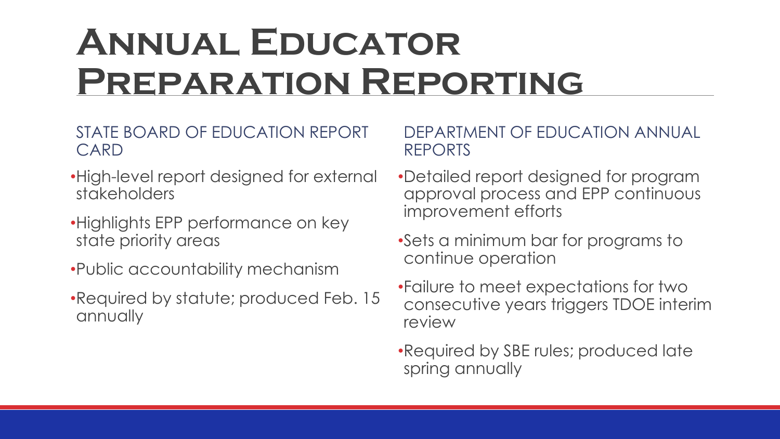### **Annual Educator Preparation Reporting**

#### STATE BOARD OF EDUCATION REPORT CARD

- •High-level report designed for external stakeholders
- •Highlights EPP performance on key state priority areas
- •Public accountability mechanism
- •Required by statute; produced Feb. 15 annually

#### DEPARTMENT OF EDUCATION ANNUAL REPORTS

- •Detailed report designed for program approval process and EPP continuous improvement efforts
- •Sets a minimum bar for programs to continue operation
- •Failure to meet expectations for two consecutive years triggers TDOE interim review
- •Required by SBE rules; produced late spring annually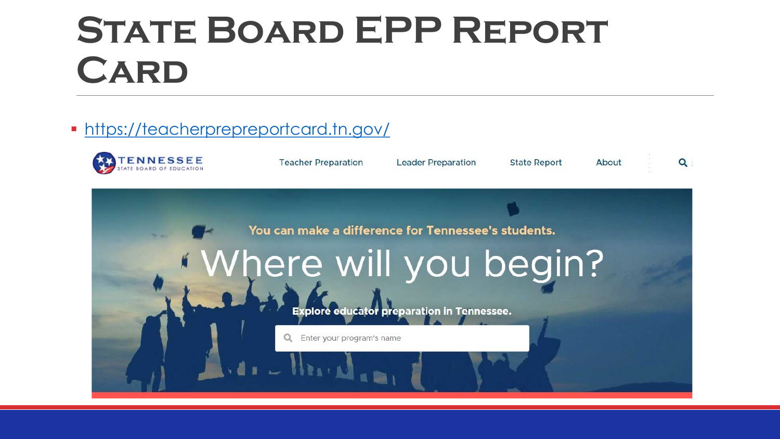### **State Board EPP Report Card**

#### <https://teacherprepreportcard.tn.gov/>

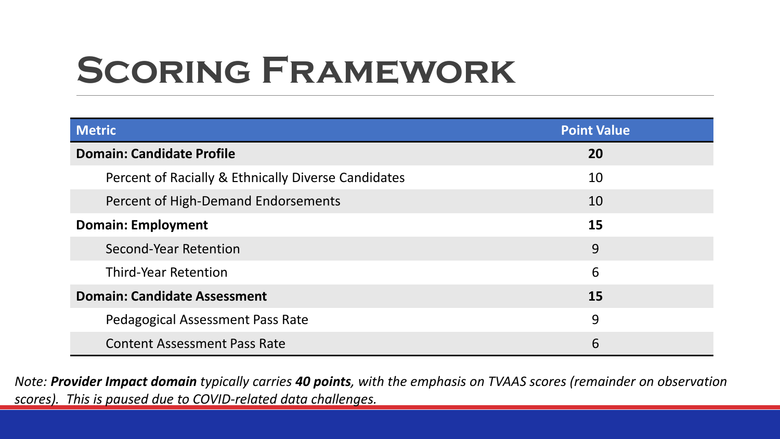# **Scoring Framework**

| <b>Metric</b>                                       | <b>Point Value</b> |
|-----------------------------------------------------|--------------------|
| <b>Domain: Candidate Profile</b>                    | <b>20</b>          |
| Percent of Racially & Ethnically Diverse Candidates | 10                 |
| Percent of High-Demand Endorsements                 | 10                 |
| <b>Domain: Employment</b>                           | 15                 |
| Second-Year Retention                               | 9                  |
| <b>Third-Year Retention</b>                         | 6                  |
| <b>Domain: Candidate Assessment</b>                 | <b>15</b>          |
| Pedagogical Assessment Pass Rate                    | 9                  |
| <b>Content Assessment Pass Rate</b>                 | 6                  |

*Note: Provider Impact domain typically carries 40 points, with the emphasis on TVAAS scores (remainder on observation scores). This is paused due to COVID-related data challenges.*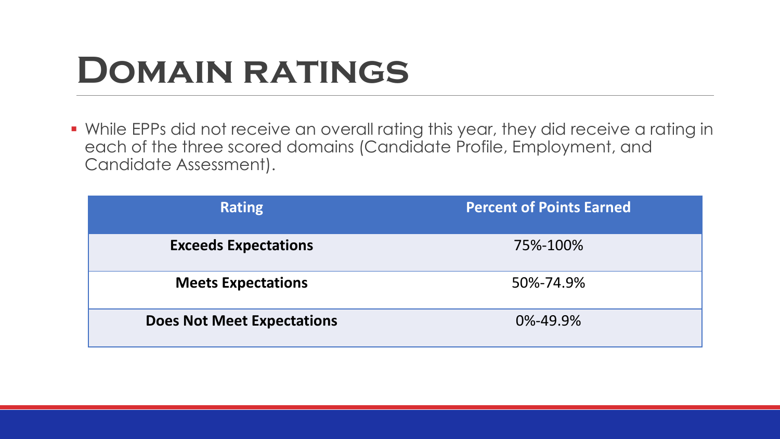### **Domain ratings**

 While EPPs did not receive an overall rating this year, they did receive a rating in each of the three scored domains (Candidate Profile, Employment, and Candidate Assessment).

| <b>Rating</b>                     | <b>Percent of Points Earned</b> |
|-----------------------------------|---------------------------------|
| <b>Exceeds Expectations</b>       | 75%-100%                        |
| <b>Meets Expectations</b>         | 50%-74.9%                       |
| <b>Does Not Meet Expectations</b> | $0\% - 49.9\%$                  |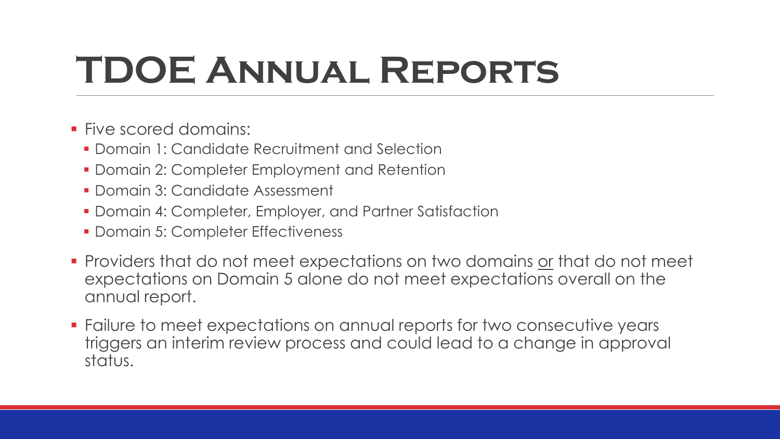# **TDOE Annual Reports**

- **Five scored domains:** 
	- **Domain 1: Candidate Recruitment and Selection**
	- **Domain 2: Completer Employment and Retention**
	- Domain 3: Candidate Assessment
	- **Domain 4: Completer, Employer, and Partner Satisfaction**
	- **Domain 5: Completer Effectiveness**
- **Providers that do not meet expectations on two domains or that do not meet** expectations on Domain 5 alone do not meet expectations overall on the annual report.
- Failure to meet expectations on annual reports for two consecutive years triggers an interim review process and could lead to a change in approval status.